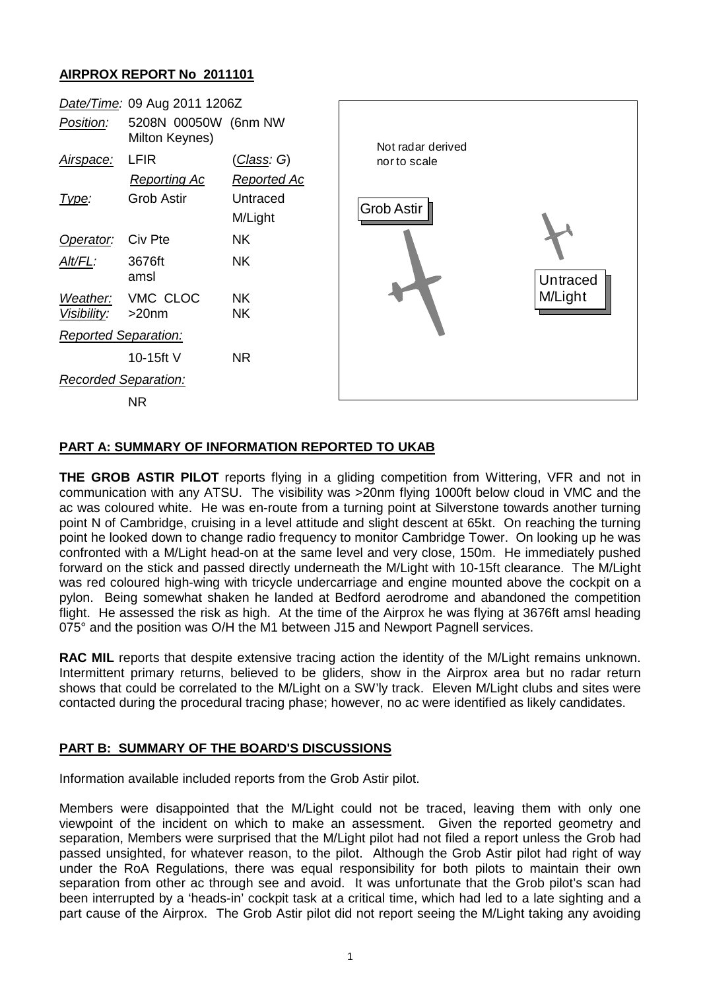## **AIRPROX REPORT No 2011101**



## **PART A: SUMMARY OF INFORMATION REPORTED TO UKAB**

**THE GROB ASTIR PILOT** reports flying in a gliding competition from Wittering, VFR and not in communication with any ATSU. The visibility was >20nm flying 1000ft below cloud in VMC and the ac was coloured white. He was en-route from a turning point at Silverstone towards another turning point N of Cambridge, cruising in a level attitude and slight descent at 65kt. On reaching the turning point he looked down to change radio frequency to monitor Cambridge Tower. On looking up he was confronted with a M/Light head-on at the same level and very close, 150m. He immediately pushed forward on the stick and passed directly underneath the M/Light with 10-15ft clearance. The M/Light was red coloured high-wing with tricycle undercarriage and engine mounted above the cockpit on a pylon. Being somewhat shaken he landed at Bedford aerodrome and abandoned the competition flight. He assessed the risk as high. At the time of the Airprox he was flying at 3676ft amsl heading 075° and the position was O/H the M1 between J15 and Newport Pagnell services.

**RAC MIL** reports that despite extensive tracing action the identity of the M/Light remains unknown. Intermittent primary returns, believed to be gliders, show in the Airprox area but no radar return shows that could be correlated to the M/Light on a SW'ly track. Eleven M/Light clubs and sites were contacted during the procedural tracing phase; however, no ac were identified as likely candidates.

## **PART B: SUMMARY OF THE BOARD'S DISCUSSIONS**

Information available included reports from the Grob Astir pilot.

Members were disappointed that the M/Light could not be traced, leaving them with only one viewpoint of the incident on which to make an assessment. Given the reported geometry and separation, Members were surprised that the M/Light pilot had not filed a report unless the Grob had passed unsighted, for whatever reason, to the pilot. Although the Grob Astir pilot had right of way under the RoA Regulations, there was equal responsibility for both pilots to maintain their own separation from other ac through see and avoid. It was unfortunate that the Grob pilot's scan had been interrupted by a 'heads-in' cockpit task at a critical time, which had led to a late sighting and a part cause of the Airprox. The Grob Astir pilot did not report seeing the M/Light taking any avoiding